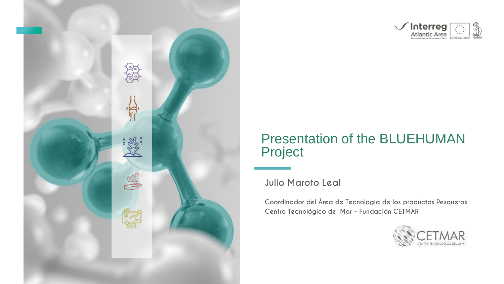



## Presentation of the BLUEHUMAN Project

#### **Julio Maroto Leal**

**Coordinador del Área de Tecnología de los productos Pesqueros Centro Tecnológico del Mar – Fundación CETMAR**

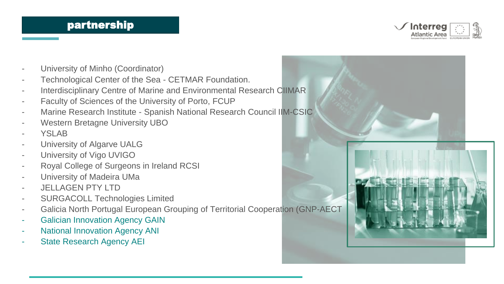#### partnership



- University of Minho (Coordinator)
- Technological Center of the Sea CETMAR Foundation.
- Interdisciplinary Centre of Marine and Environmental Research CIIMAR
- Faculty of Sciences of the University of Porto, FCUP
- Marine Research Institute Spanish National Research Council IM-CSIC
- Western Bretagne University UBO
- **YSLAB**
- University of Algarve UALG
- University of Vigo UVIGO
- Royal College of Surgeons in Ireland RCSI
- University of Madeira UMa
- JELLAGEN PTY LTD
- SURGACOLL Technologies Limited
- Galicia North Portugal European Grouping of Territorial Cooperation (GNP-AECT
- Galician Innovation Agency GAIN
- National Innovation Agency ANI
- **State Research Agency AEI**

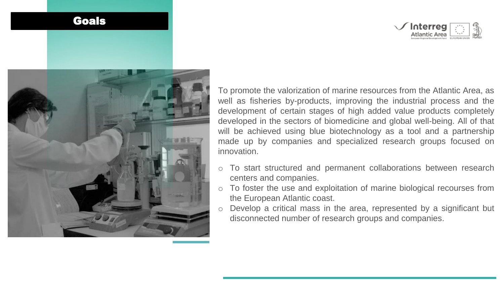#### Goals





To promote the valorization of marine resources from the Atlantic Area, as well as fisheries by-products, improving the industrial process and the development of certain stages of high added value products completely developed in the sectors of biomedicine and global well-being. All of that will be achieved using blue biotechnology as a tool and a partnership made up by companies and specialized research groups focused on innovation.

- o To start structured and permanent collaborations between research centers and companies.
- o To foster the use and exploitation of marine biological recourses from the European Atlantic coast.
- o Develop a critical mass in the area, represented by a significant but disconnected number of research groups and companies.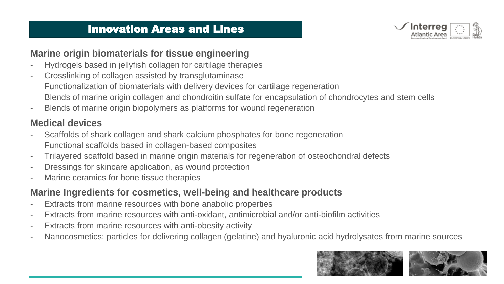## Innovation Areas and Lines



#### **Marine origin biomaterials for tissue engineering**

- Hydrogels based in jellyfish collagen for cartilage therapies
- Crosslinking of collagen assisted by transglutaminase
- Functionalization of biomaterials with delivery devices for cartilage regeneration
- Blends of marine origin collagen and chondroitin sulfate for encapsulation of chondrocytes and stem cells
- Blends of marine origin biopolymers as platforms for wound regeneration

#### **Medical devices**

- Scaffolds of shark collagen and shark calcium phosphates for bone regeneration
- Functional scaffolds based in collagen-based composites
- Trilayered scaffold based in marine origin materials for regeneration of osteochondral defects
- Dressings for skincare application, as wound protection
- Marine ceramics for bone tissue therapies

## **Marine Ingredients for cosmetics, well-being and healthcare products**

- Extracts from marine resources with bone anabolic properties
- Extracts from marine resources with anti-oxidant, antimicrobial and/or anti-biofilm activities
- Extracts from marine resources with anti-obesity activity
- Nanocosmetics: particles for delivering collagen (gelatine) and hyaluronic acid hydrolysates from marine sources

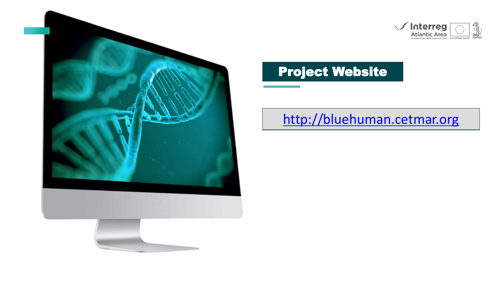



# Project Website

# [http://bluehuman.cetmar.org](http://bluehuman.cetmar.org/)